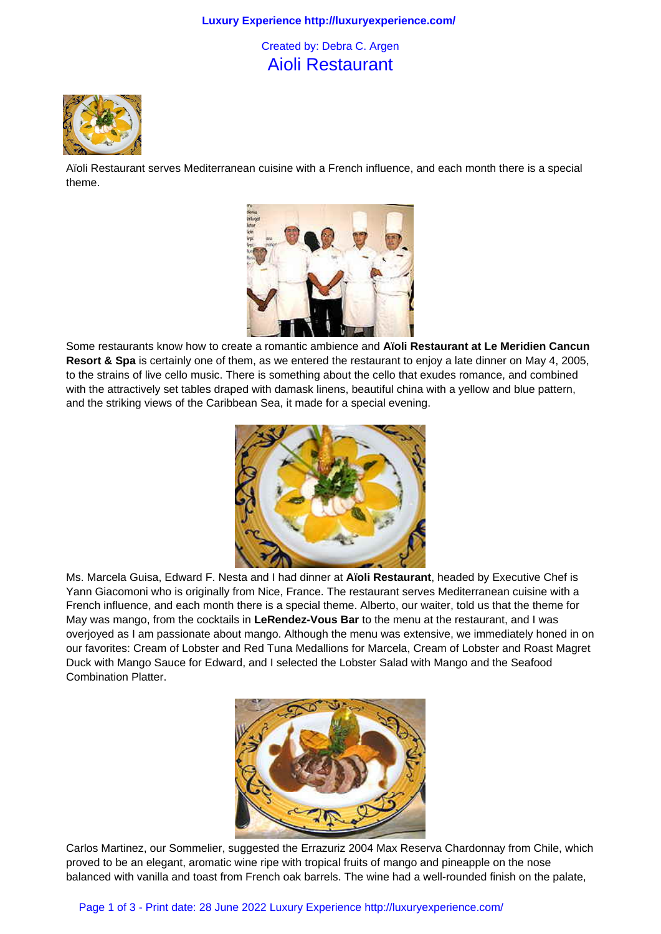## **Luxury Experience http://luxuryexperience.com/**

## Created by: Debra C. Argen Aioli Restaurant



Aïoli Restaurant serves Mediterranean cuisine with a French influence, and each month there is a special theme.



Some restaurants know how to create a romantic ambience and **Aïoli Restaurant at Le Meridien Cancun Resort & Spa** is certainly one of them, as we entered the restaurant to enjoy a late dinner on May 4, 2005, to the strains of live cello music. There is something about the cello that exudes romance, and combined with the attractively set tables draped with damask linens, beautiful china with a yellow and blue pattern, and the striking views of the Caribbean Sea, it made for a special evening.



Ms. Marcela Guisa, Edward F. Nesta and I had dinner at **Aïoli Restaurant**, headed by Executive Chef is Yann Giacomoni who is originally from Nice, France. The restaurant serves Mediterranean cuisine with a French influence, and each month there is a special theme. Alberto, our waiter, told us that the theme for May was mango, from the cocktails in **LeRendez-Vous Bar** to the menu at the restaurant, and I was overjoyed as I am passionate about mango. Although the menu was extensive, we immediately honed in on our favorites: Cream of Lobster and Red Tuna Medallions for Marcela, Cream of Lobster and Roast Magret Duck with Mango Sauce for Edward, and I selected the Lobster Salad with Mango and the Seafood Combination Platter.



Carlos Martinez, our Sommelier, suggested the Errazuriz 2004 Max Reserva Chardonnay from Chile, which proved to be an elegant, aromatic wine ripe with tropical fruits of mango and pineapple on the nose balanced with vanilla and toast from French oak barrels. The wine had a well-rounded finish on the palate,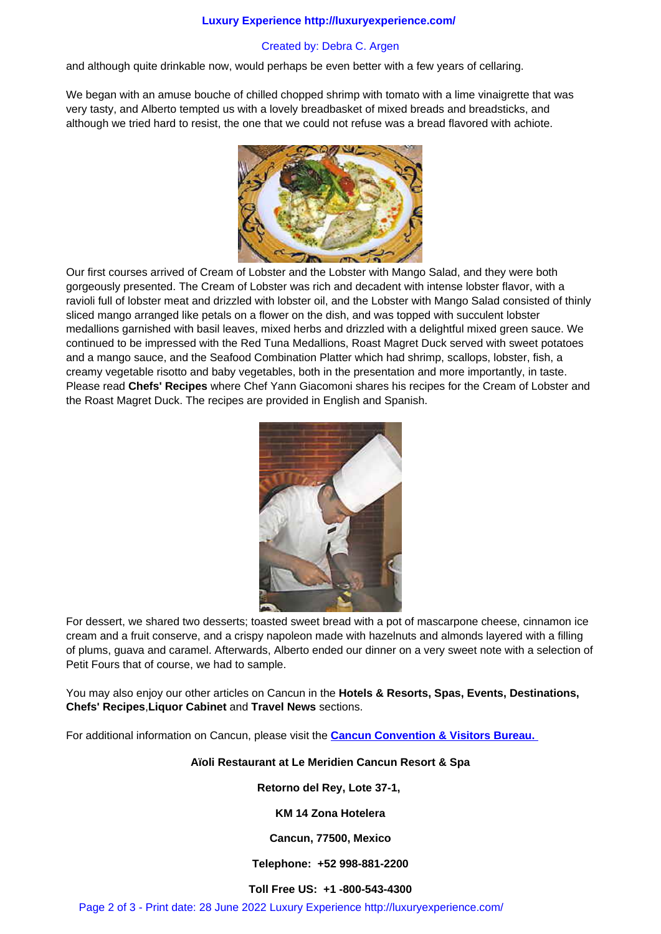and although quite drinkable now, would perhaps be even better with a few years of cellaring.

We began with an amuse bouche of chilled chopped shrimp with tomato with a lime vinaigrette that was very tasty, and Alberto tempted us with a lovely breadbasket of mixed breads and breadsticks, and although we tried hard to resist, the one that we could not refuse was a bread flavored with achiote.



Our first courses arrived of Cream of Lobster and the Lobster with Mango Salad, and they were both gorgeously presented. The Cream of Lobster was rich and decadent with intense lobster flavor, with a ravioli full of lobster meat and drizzled with lobster oil, and the Lobster with Mango Salad consisted of thinly sliced mango arranged like petals on a flower on the dish, and was topped with succulent lobster medallions garnished with basil leaves, mixed herbs and drizzled with a delightful mixed green sauce. We continued to be impressed with the Red Tuna Medallions, Roast Magret Duck served with sweet potatoes and a mango sauce, and the Seafood Combination Platter which had shrimp, scallops, lobster, fish, a creamy vegetable risotto and baby vegetables, both in the presentation and more importantly, in taste. Please read **Chefs' Recipes** where Chef Yann Giacomoni shares his recipes for the Cream of Lobster and the Roast Magret Duck. The recipes are provided in English and Spanish.



For dessert, we shared two desserts; toasted sweet bread with a pot of mascarpone cheese, cinnamon ice cream and a fruit conserve, and a crispy napoleon made with hazelnuts and almonds layered with a filling of plums, guava and caramel. Afterwards, Alberto ended our dinner on a very sweet note with a selection of Petit Fours that of course, we had to sample.

You may also enjoy our other articles on Cancun in the **Hotels & Resorts, Spas, Events, Destinations, Chefs' Recipes**,**Liquor Cabinet** and **Travel News** sections.

For additional information on Cancun, please visit the **Cancun Convention & Visitors Bureau.** 

**Aïoli Restaurant at Le Meridien Cancun Resort & Spa**

**Retorno del R[ey, Lote 37-1,](http://www.cancun.info/)** 

**KM 14 Zona Hotelera**

**Cancun, 77500, Mexico**

**Telephone: +52 998-881-2200**

**Toll Free US: +1 -800-543-4300**

Page 2 of 3 - Print date: 28 June 2022 Luxury Experience http://luxuryexperience.com/